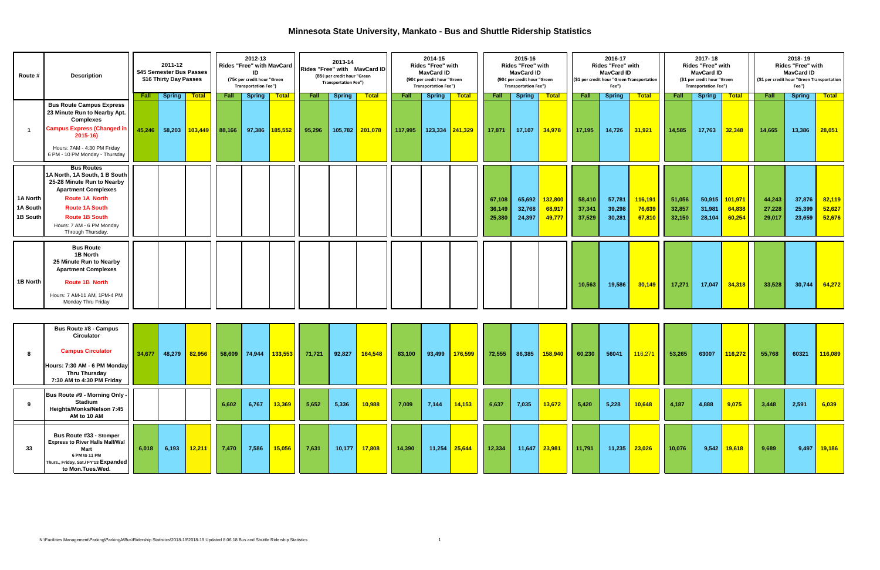## **Minnesota State University, Mankato - Bus and Shuttle Ridership Statistics**

| <b>Route #</b>                   | <b>Description</b>                                                                                                                                                                                                                          |                       | 2011-12<br>\$45 Semester Bus Passes<br>\$16 Thirty Day Passes |                                       |                | 2012-13<br><b>Rides "Free" with MavCard</b><br>חו<br>(75¢ per credit hour "Green<br><b>Transportation Fee")</b> |                         |                       | 2013-14<br>Rides "Free" with MayCard ID<br>(85¢ per credit hour "Green<br><b>Transportation Fee")</b> |                         |                 | 2014-15<br><b>Rides "Free" with</b><br><b>MayCard ID</b><br>(90¢ per credit hour "Green<br><b>Transportation Fee")</b> |                                   |                            | 2015-16<br><b>Rides "Free" with</b><br><b>MayCard ID</b><br>(90¢ per credit hour "Green<br><b>Transportation Fee")</b> |                             |                            | 2016-17<br><b>Rides "Free" with</b><br><b>MayCard ID</b><br>Fee") | (\$1 per credit hour "Green Transportation | 2017-18<br><b>Rides "Free" with</b><br><b>MayCard ID</b><br>(\$1 per credit hour "Green<br><b>Transportation Fee")</b> |                            |                             | 2018-19<br><b>Rides "Free" with</b><br><b>MayCard ID</b><br>(\$1 per credit hour "Green Transportation<br>Fee") |                            |                            |
|----------------------------------|---------------------------------------------------------------------------------------------------------------------------------------------------------------------------------------------------------------------------------------------|-----------------------|---------------------------------------------------------------|---------------------------------------|----------------|-----------------------------------------------------------------------------------------------------------------|-------------------------|-----------------------|-------------------------------------------------------------------------------------------------------|-------------------------|-----------------|------------------------------------------------------------------------------------------------------------------------|-----------------------------------|----------------------------|------------------------------------------------------------------------------------------------------------------------|-----------------------------|----------------------------|-------------------------------------------------------------------|--------------------------------------------|------------------------------------------------------------------------------------------------------------------------|----------------------------|-----------------------------|-----------------------------------------------------------------------------------------------------------------|----------------------------|----------------------------|
|                                  | <b>Bus Route Campus Express</b><br>23 Minute Run to Nearby Apt.<br><b>Complexes</b><br><b>Campus Express (Changed in</b><br>$2015 - 16$<br>Hours: 7AM - 4:30 PM Fridav<br>6 PM - 10 PM Monday - Thursday                                    | <b>Fall</b><br>45,246 | Spring <b>T</b>                                               | <b>Total</b><br>58,203 <b>103,449</b> | Fall<br>88,166 | <b>Spring</b><br>97,386                                                                                         | <b>Total</b><br>185,552 | <b>Fall</b><br>95,296 | <b>Spring</b><br>105,782                                                                              | <b>Total</b><br>201,078 | Fall<br>117,995 | Spring                                                                                                                 | <b>Total</b><br>$123,334$ 241,329 | Fall<br>17,871             | <b>Spring</b><br>17,107                                                                                                | <b>Total</b><br>34,978      | Fall<br>17,195             | <b>Spring</b><br>14,726                                           | <b>Total</b><br>31,921                     | <b>Fall</b><br>14,585                                                                                                  | <b>Spring</b><br>17,763    | <b>Total</b><br>32,348      | Fall<br>14,665                                                                                                  | <b>Spring</b><br>13,386    | <b>Total</b><br>28,051     |
| 1A North<br>1A South<br>1B South | <b>Bus Routes</b><br>1A North, 1A South, 1 B South<br>25-28 Minute Run to Nearby<br><b>Apartment Complexes</b><br><b>Route 1A North</b><br><b>Route 1A South</b><br><b>Route 1B South</b><br>Hours: 7 AM - 6 PM Monday<br>Through Thursday. |                       |                                                               |                                       |                |                                                                                                                 |                         |                       |                                                                                                       |                         |                 |                                                                                                                        |                                   | 67.108<br>36.149<br>25,380 | 65,692<br>32,768<br>24,397                                                                                             | 132,800<br>68,917<br>49,777 | 58,410<br>37,341<br>37,529 | 57,781<br>39,298<br>30,281                                        | 116,191<br>76,639<br>67,810                | 51,056<br>32,857<br>32,150                                                                                             | 50,915<br>31,981<br>28,104 | 101,971<br>64,838<br>60,254 | 44,243<br>27,228<br>29,017                                                                                      | 37,876<br>25,399<br>23,659 | 82,119<br>52,627<br>52,676 |
| 1B North                         | <b>Bus Route</b><br>1B North<br>25 Minute Run to Nearby<br><b>Apartment Complexes</b><br><b>Route 1B North</b><br>Hours: 7 AM-11 AM, 1PM-4 PM<br>Monday Thru Friday                                                                         |                       |                                                               |                                       |                |                                                                                                                 |                         |                       |                                                                                                       |                         |                 |                                                                                                                        |                                   |                            |                                                                                                                        |                             | 10,563                     | 19,586                                                            | 30,149                                     | 17,271                                                                                                                 | 17,047                     | 34,318                      | 33,528                                                                                                          | 30,744                     | 64,272                     |

|    | <b>Bus Route #8 - Campus</b><br><b>Circulator</b><br><b>Campus Circulator</b><br>Hours: 7:30 AM - 6 PM Monday<br>Thru Thursday                                | 34,677 | 48,279 | <b>82,956</b> | $58,609$ 74,944 |       |        | $133,553$ 71,721 | 92,827 | $\begin{array}{ c c c c c } \hline \textbf{164,548} & \textbf{83,100} \hline \end{array}$ |        | 93,499 | 176,599 | 72,555 | 86,385 | $158,940$ | 60,230 | 56041  | 116,271 | 53,265 | 63007 | 116,272 | 55,768 | 60321 | 116,089       |
|----|---------------------------------------------------------------------------------------------------------------------------------------------------------------|--------|--------|---------------|-----------------|-------|--------|------------------|--------|-------------------------------------------------------------------------------------------|--------|--------|---------|--------|--------|-----------|--------|--------|---------|--------|-------|---------|--------|-------|---------------|
|    | 7:30 AM to 4:30 PM Friday                                                                                                                                     |        |        |               |                 |       |        |                  |        |                                                                                           |        |        |         |        |        |           |        |        |         |        |       |         |        |       |               |
|    | Bus Route #9 - Morning Only -<br>Stadium<br>Heights/Monks/Nelson 7:45<br>AM to 10 AM                                                                          |        |        |               | 6,602           | 6,767 | 13,369 | 5,652            | 5,336  | 10,988                                                                                    | 7,009  | 7,144  | 14,153  | 6,637  | 7,035  | 13,672    | 5,420  | 5,228  | 10,648  | 4,187  | 4,888 | 9,075   | 3,448  | 2,591 | 6,039         |
| 33 | <b>Bus Route #33 - Stomper</b><br><b>Express to River Halls Mall/Wal</b><br>Mart<br>6 PM to 11 PM<br>Thurs., Friday, Sat./ FY'13 Expanded<br>to Mon.Tues.Wed. | 6,018  | 6,193  | 12,211        | 7,470           | 7,586 | 15,056 | 7,631            | 10,177 | 17,808                                                                                    | 14,390 | 11,254 | 25,644  | 12,334 | 11,647 | 23,981    | 11,791 | 11,235 | 23,026  | 10,076 | 9,542 | 19,618  | 9,689  | 9,497 | <b>19,186</b> |